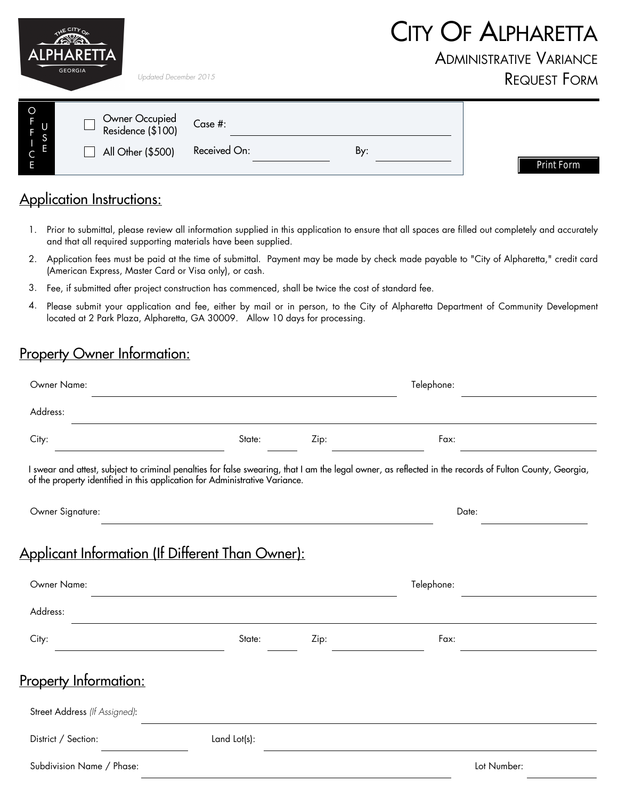|                                       | <b>ALPHARETTA</b><br><b>GEORGIA</b><br>Updated December 2015 |                         |     | <b>CITY OF ALPHARETTA</b><br><b>ADMINISTRATIVE VARIANCE</b><br><b>REQUEST FORM</b> |
|---------------------------------------|--------------------------------------------------------------|-------------------------|-----|------------------------------------------------------------------------------------|
| $\circ$<br>F<br>$\cup$<br>S<br>E<br>Е | Owner Occupied<br>Residence (\$100)<br>All Other (\$500)     | Case #:<br>Received On: | By: | Print Form                                                                         |

## Application Instructions:

- 1. Prior to submittal, please review all information supplied in this application to ensure that all spaces are filled out completely and accurately and that all required supporting materials have been supplied.
- 2. Application fees must be paid at the time of submittal. Payment may be made by check made payable to "City of Alpharetta," credit card (American Express, Master Card or Visa only), or cash.
- Fee, if submitted after project construction has commenced, shall be twice the cost of standard fee. 3.
- Please submit your application and fee, either by mail or in person, to the City of Alpharetta Department of Community Development located at 2 Park Plaza, Alpharetta, GA 30009. Allow 10 days for processing. 4.

## Property Owner Information:

| Owner Name:                                                                 | Telephone:                                                                 |      |                                                                                                                                                         |  |
|-----------------------------------------------------------------------------|----------------------------------------------------------------------------|------|---------------------------------------------------------------------------------------------------------------------------------------------------------|--|
| Address:                                                                    |                                                                            |      |                                                                                                                                                         |  |
| City:                                                                       | State:                                                                     | Zip: | Fax:                                                                                                                                                    |  |
| of the property identified in this application for Administrative Variance. |                                                                            |      | I swear and attest, subject to criminal penalties for false swearing, that I am the legal owner, as reflected in the records of Fulton County, Georgia, |  |
| Owner Signature:                                                            |                                                                            |      | Date:                                                                                                                                                   |  |
| Applicant Information (If Different Than Owner):                            |                                                                            |      |                                                                                                                                                         |  |
| Owner Name:                                                                 | the control of the control of the control of the control of the control of |      | Telephone:                                                                                                                                              |  |
| Address:                                                                    |                                                                            |      |                                                                                                                                                         |  |
| City:<br>the control of the control of the control of the control of        | State:                                                                     | Zip: | Fax:                                                                                                                                                    |  |
| <u>Property Information:</u>                                                |                                                                            |      |                                                                                                                                                         |  |
| Street Address (If Assigned):                                               |                                                                            |      |                                                                                                                                                         |  |
| District / Section:                                                         | Land Lot(s):                                                               |      |                                                                                                                                                         |  |
| Subdivision Name / Phase:                                                   |                                                                            |      | Lot Number:                                                                                                                                             |  |
|                                                                             |                                                                            |      |                                                                                                                                                         |  |